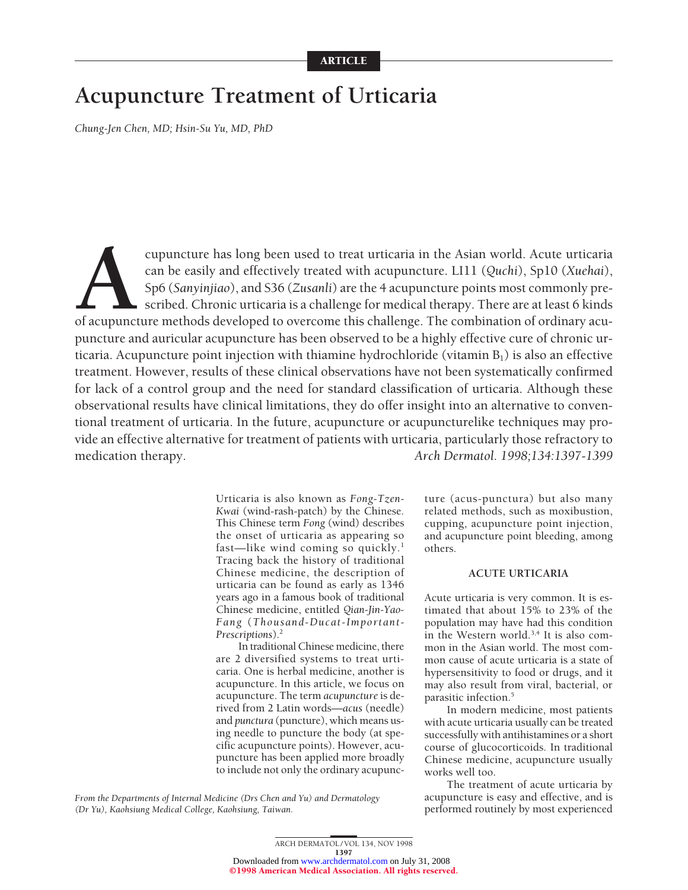# **Acupuncture Treatment of Urticaria**

*Chung-Jen Chen, MD; Hsin-Su Yu, MD, PhD*

cupuncture has long been used to treat urticaria in the Asian world. Acute urticaria can be easily and effectively treated with acupuncture. LI11 (Quchi), Sp10 (Xuehai), Sp6 (Sanyinjiao), and S36 (Zusanli) are the 4 acupun can be easily and effectively treated with acupuncture. LI11 (*Quchi*), Sp10 (*Xuehai*), Sp6 (*Sanyinjiao*), and S36 (*Zusanli*) are the 4 acupuncture points most commonly prescribed. Chronic urticaria is a challenge for medical therapy. There are at least 6 kinds of acupuncture methods developed to overcome this challenge. The combination of ordinary acupuncture and auricular acupuncture has been observed to be a highly effective cure of chronic urticaria. Acupuncture point injection with thiamine hydrochloride (vitamin  $B_1$ ) is also an effective treatment. However, results of these clinical observations have not been systematically confirmed for lack of a control group and the need for standard classification of urticaria. Although these observational results have clinical limitations, they do offer insight into an alternative to conventional treatment of urticaria. In the future, acupuncture or acupuncturelike techniques may provide an effective alternative for treatment of patients with urticaria, particularly those refractory to medication therapy. *Arch Dermatol. 1998;134:1397-1399*

> Urticaria is also known as *Fong-Tzen-Kwai* (wind-rash-patch) by the Chinese. This Chinese term *Fong* (wind) describes the onset of urticaria as appearing so fast—like wind coming so quickly.<sup>1</sup> Tracing back the history of traditional Chinese medicine, the description of urticaria can be found as early as 1346 years ago in a famous book of traditional Chinese medicine, entitled *Qian-Jin-Yao-Fang* (*Thousand-Ducat-Important-Prescriptions*).2

> In traditional Chinese medicine, there are 2 diversified systems to treat urticaria. One is herbal medicine, another is acupuncture. In this article, we focus on acupuncture. The term *acupuncture* is derived from 2 Latin words—*acus* (needle) and *punctura* (puncture), which means using needle to puncture the body (at specific acupuncture points). However, acupuncture has been applied more broadly to include not only the ordinary acupunc

ture (acus-punctura) but also many related methods, such as moxibustion, cupping, acupuncture point injection, and acupuncture point bleeding, among others.

## **ACUTE URTICARIA**

Acute urticaria is very common. It is estimated that about 15% to 23% of the population may have had this condition in the Western world.<sup>3,4</sup> It is also common in the Asian world. The most common cause of acute urticaria is a state of hypersensitivity to food or drugs, and it may also result from viral, bacterial, or parasitic infection.5

In modern medicine, most patients with acute urticaria usually can be treated successfully with antihistamines or a short course of glucocorticoids. In traditional Chinese medicine, acupuncture usually works well too.

The treatment of acute urticaria by acupuncture is easy and effective, and is performed routinely by most experienced

*From the Departments of Internal Medicine (Drs Chen and Yu) and Dermatology (Dr Yu), Kaohsiung Medical College, Kaohsiung, Taiwan.*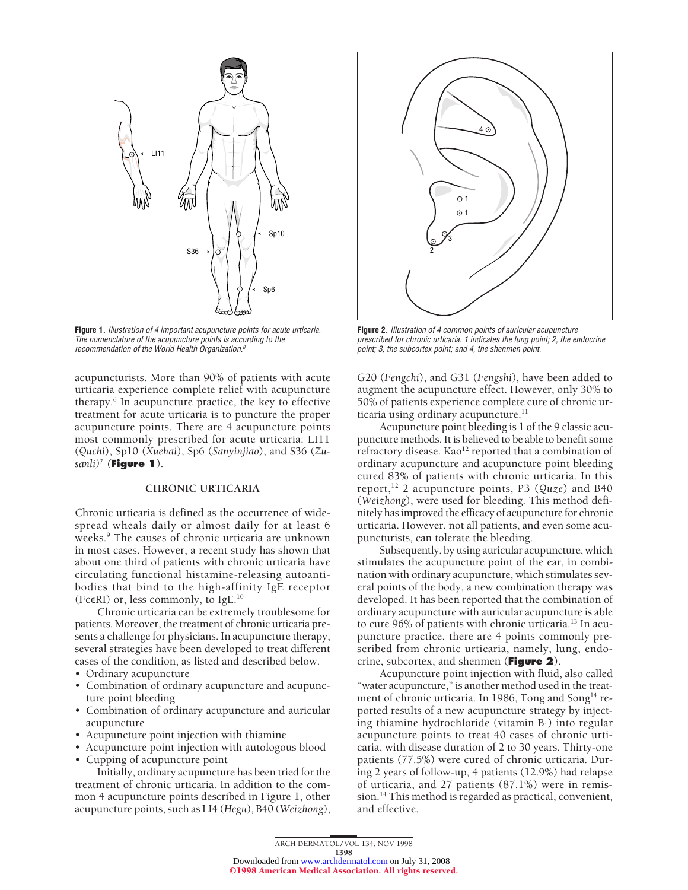

**Figure 1.** Illustration of 4 important acupuncture points for acute urticaria. The nomenclature of the acupuncture points is according to the recommendation of the World Health Organization.<sup>8</sup>

acupuncturists. More than 90% of patients with acute urticaria experience complete relief with acupuncture therapy.6 In acupuncture practice, the key to effective treatment for acute urticaria is to puncture the proper acupuncture points. There are 4 acupuncture points most commonly prescribed for acute urticaria: LI11 (*Quchi*), Sp10 (*Xuehai*), Sp6 (*Sanyinjiao*), and S36 (*Zusanli)7 (***Figure 1**).

# **CHRONIC URTICARIA**

Chronic urticaria is defined as the occurrence of widespread wheals daily or almost daily for at least 6 weeks.<sup>9</sup> The causes of chronic urticaria are unknown in most cases. However, a recent study has shown that about one third of patients with chronic urticaria have circulating functional histamine-releasing autoantibodies that bind to the high-affinity IgE receptor (Fc $\epsilon$ RI) or, less commonly, to IgE.<sup>10</sup>

Chronic urticaria can be extremely troublesome for patients. Moreover, the treatment of chronic urticaria presents a challenge for physicians. In acupuncture therapy, several strategies have been developed to treat different cases of the condition, as listed and described below.

- Ordinary acupuncture
- Combination of ordinary acupuncture and acupuncture point bleeding
- Combination of ordinary acupuncture and auricular acupuncture
- Acupuncture point injection with thiamine
- Acupuncture point injection with autologous blood
- Cupping of acupuncture point

Initially, ordinary acupuncture has been tried for the treatment of chronic urticaria. In addition to the common 4 acupuncture points described in Figure 1, other acupuncture points, such as LI4 (*Hegu*), B40 (*Weizhong*),



**Figure 2.** Illustration of 4 common points of auricular acupuncture prescribed for chronic urticaria. 1 indicates the lung point; 2, the endocrine point; 3, the subcortex point; and 4, the shenmen point.

G20 (*Fengchi*), and G31 (*Fengshi*), have been added to augment the acupuncture effect. However, only 30% to 50% of patients experience complete cure of chronic urticaria using ordinary acupuncture.<sup>11</sup>

Acupuncture point bleeding is 1 of the 9 classic acupuncture methods. It is believed to be able to benefit some refractory disease. Kao<sup>12</sup> reported that a combination of ordinary acupuncture and acupuncture point bleeding cured 83% of patients with chronic urticaria. In this report,12 2 acupuncture points, P3 (*Quze*) and B40 (*Weizhong*), were used for bleeding. This method definitely has improved the efficacy of acupuncture for chronic urticaria. However, not all patients, and even some acupuncturists, can tolerate the bleeding.

Subsequently, by using auricular acupuncture, which stimulates the acupuncture point of the ear, in combination with ordinary acupuncture, which stimulates several points of the body, a new combination therapy was developed. It has been reported that the combination of ordinary acupuncture with auricular acupuncture is able to cure 96% of patients with chronic urticaria.<sup>13</sup> In acupuncture practice, there are 4 points commonly prescribed from chronic urticaria, namely, lung, endocrine, subcortex, and shenmen (**Figure 2**).

Acupuncture point injection with fluid, also called "water acupuncture," is another method used in the treatment of chronic urticaria. In 1986, Tong and Song<sup>14</sup> reported results of a new acupuncture strategy by injecting thiamine hydrochloride (vitamin  $B_1$ ) into regular acupuncture points to treat 40 cases of chronic urticaria, with disease duration of 2 to 30 years. Thirty-one patients (77.5%) were cured of chronic urticaria. During 2 years of follow-up, 4 patients (12.9%) had relapse of urticaria, and 27 patients (87.1%) were in remission.14 This method is regarded as practical, convenient, and effective.